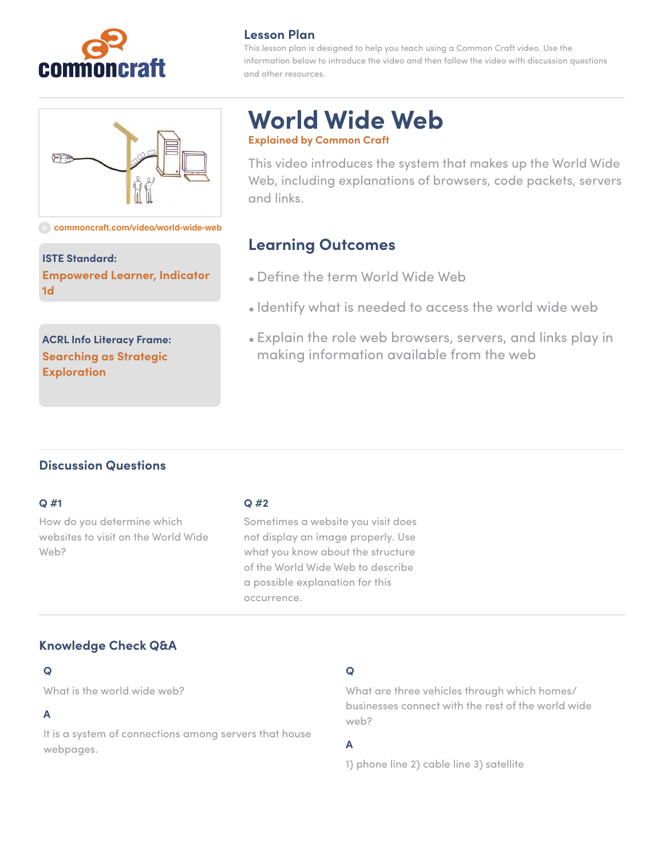

# 甲

#### **[commoncraft.com/video/world-wide-web](http://commoncraft.com/video/world-wide-web)**

**ISTE Standard: Empowered Learner, Indicator 1d**

**ACRL Info Literacy Frame: Searching as Strategic Exploration**

#### **Lesson Plan**

This lesson plan is designed to help you teach using a Common Craft video. Use the information below to introduce the video and then follow the video with discussion questions and other resources.

# **World Wide Web Explained by Common Craft**

This video introduces the system that makes up the World Wide Web, including explanations of browsers, code packets, servers and links.

# **Learning Outcomes**

- Define the term World Wide Web
- Identify what is needed to access the world wide web
- Explain the role web browsers, servers, and links play in making information available from the web

## **Discussion Questions**

#### **Q #1**

How do you determine which websites to visit on the World Wide Web?

#### **Q #2**

Sometimes a website you visit does not display an image properly. Use what you know about the structure of the World Wide Web to describe a possible explanation for this occurrence.

## **Knowledge Check Q&A**

#### **Q**

What is the world wide web?

#### **A**

It is a system of connections among servers that house webpages.

## **Q**

What are three vehicles through which homes/ businesses connect with the rest of the world wide web?

## **A**

1) phone line 2) cable line 3) satellite